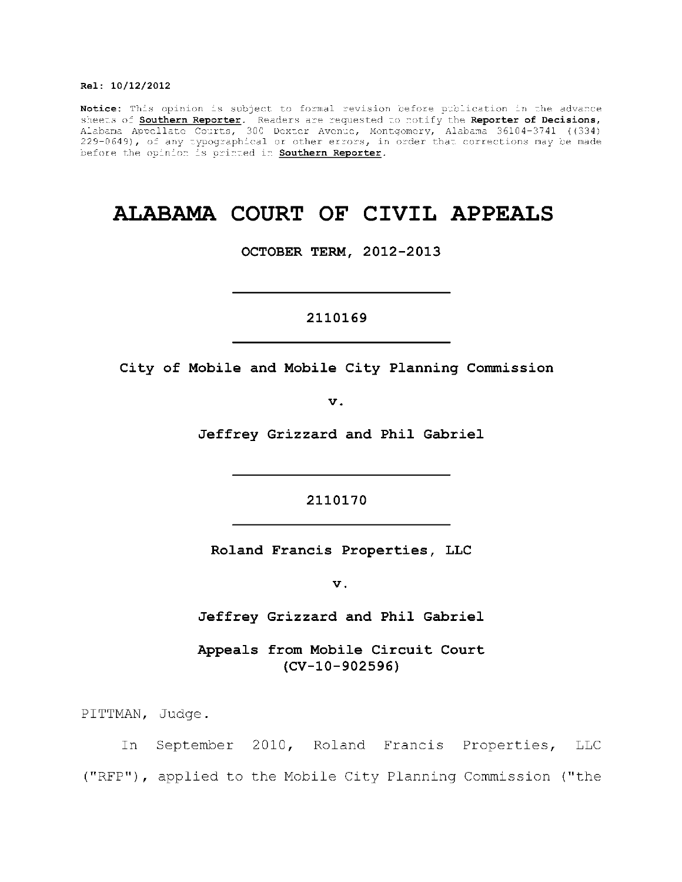#### **Rel : 10/12/2012**

Notice: This opinion is subject to formal revision before publication in the advance sheets of **Southern Reporter**. Readers are requested to notify the Reporter of Decisions, Alabama Appellate Courts, 300 Dexter Avenue, Montgomery, Alabama 36104-3741 ((334) 229-0649), of any typographical or other errors, in order that corrections may be made  $\,$ before the opinion is printed in **Southern Reporter**.

# **ALABAMA COURT OF CIVIL APPEALS**

**OCTOBER TERM, 2012-2013** 

2110169

**2110169** 

City of Mobile and Mobile City Planning Commission

**v.** 

Jeffrey Grizzard and Phil Gabriel

2110170

**Roland Francis Properties, LLC** 

**2110170** 

 $\mathbf v$ .

Jeffrey Grizzard and Phil Gabriel **Jeffre y Grizzar d and Phi l Gabriel** 

Appeals from Mobile Circuit Court **(CV-10-902596)** 

PITTMAN, Judge.

In September 2010, Roland Francis Properties, LLC ("RFP"), applied to the Mobile City Planning Commission ("the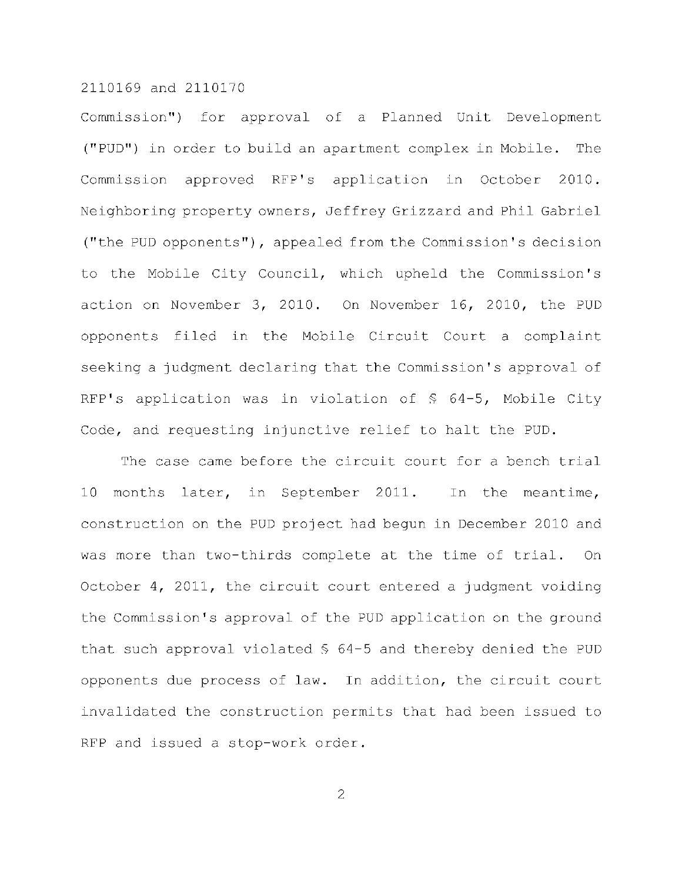Commission") for approval of a Planned Unit Development ("PUD") in order to build an apartment complex in Mobile. The Commission approved RFP's application in October 2010. Neighboring property owners, Jeffrey Grizzard and Phil Gabriel ("the PUD opponents"), appealed from the Commission's decision to the Mobile City Council, which upheld the Commission's action on November 3, 2010. On November 16, 2010, the PUD opponents filed in the Mobile Circuit Court a complaint seeking a judgment declaring that the Commission's approval of RFP's application was in violation of  $$64-5$ , Mobile City Code, and requesting injunctive relief to halt the PUD.

The case came before the circuit court for a bench trial 10 months later, in September 2011. In the meantime, construction on the PUD project had begun in December 2010 and was more than two-thirds complete at the time of trial. On October 4, 2011, the circuit court entered a judgment voiding the Commission's approval of the PUD application on the ground that such approval violated  $$64-5$  and thereby denied the PUD opponents due process of law. In addition, the circuit court invalidated the construction permits that had been issued to RFP and issued a stop-work order.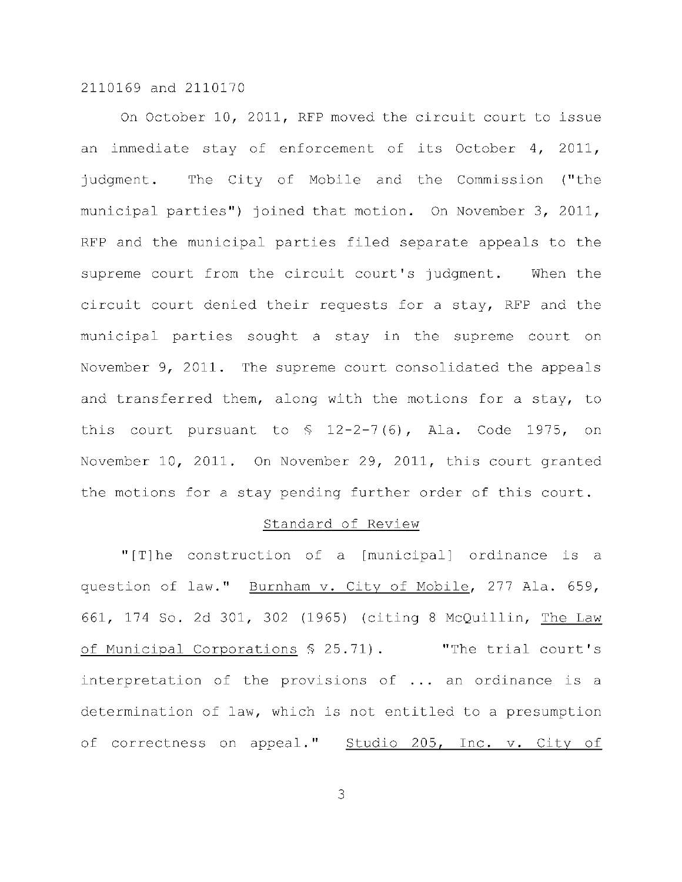On October 10, 2011, RFP moved the circuit court to issue an immediate stay of enforcement of its October 4, 2011, judgment. The City of Mobile and the Commission ("the municipal parties") joined that motion. On November 3, 2011, RFP and the municipal parties filed separate appeals to the supreme court from the circuit court's judgment. When the circuit court denied their requests for a stay, RFP and the municipal parties sought a stay in the supreme court on November  $9$ , 2011. The supreme court consolidated the appeals and transferred them, along with the motions for a stay, to this court pursuant to  $$ 12-2-7(6)$ , Ala. Code 1975, on November 10, 2011. On November 29, 2011, this court granted the motions for a stay pending further order of this court.

#### Standard of Review

" $[T]$ he construction of a  $[m$ unicipal ordinance is a question of law." Burnham v. City of Mobile, 277 Ala. 659, 661, 174 So. 2d 301, 302 (1965) (citing 8 McQuillin, The Law of Municipal Corporations \$ 25.71). "The trial court's interpretation of the provisions of  $\ldots$  an ordinance is a determination of law, which is not entitled to a presumption of correctness on appeal." Studio 205, Inc. v. City of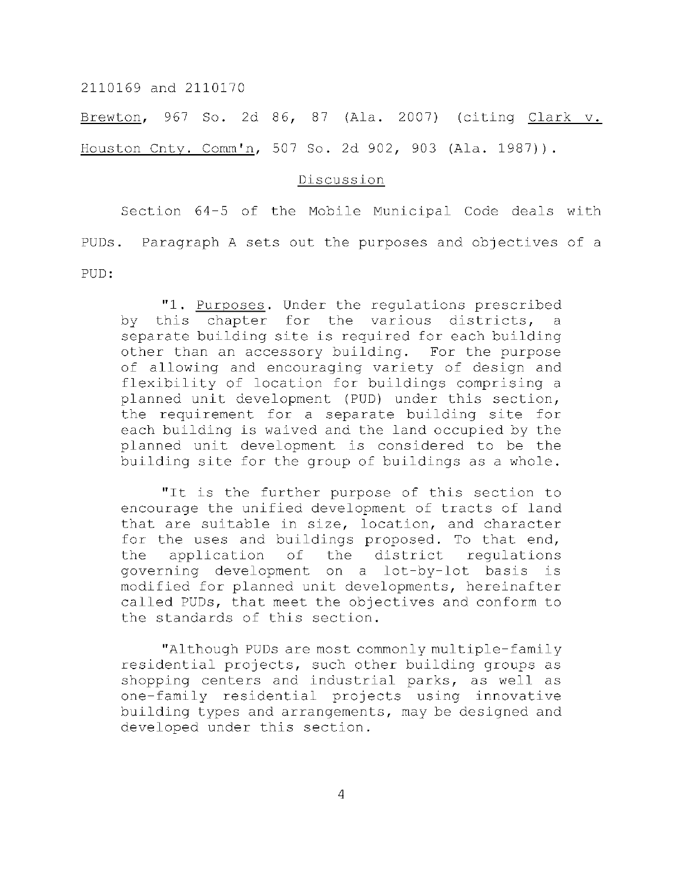Brewton, 967 So. 2d 86, 87 (Ala. 2007) (citing Clark v. Houston Cnty. Comm'n, 507 So. 2d 902, 903 (Ala. 1987)).

# Discussion

Section 64-5 of the Mobile Municipal Code deals with PUDs. Paragraph A sets out the purposes and objectives of a PUD:

"1. Purposes. Under the regulations prescribed by this chapter for the various districts, separate building site is required for each building other than an accessory building. For the purpose of allowing and encouraging variety of design and flexibility of location for buildings comprising a planned unit development (PUD) under this section, the requirement for a separate building site for each building is waived and the land occupied by the planned unit development is considered to be the building site for the group of buildings as a whole.

"It is the further purpose of this section to encourage the unified development of tracts of land that are suitable in size, location, and character for the uses and buildings proposed. To that end, the application of the district requlations governing development on a lot-by-lot basis is modified for planned unit developments, hereinafter called PUDs, that meet the objectives and conform to the standards of this section.

"Although PUDs are most commonly multiple-family residential projects, such other building groups as shopping centers and industrial parks, as well as one-family residential projects using innovative building types and arrangements, may be designed and developed under this section.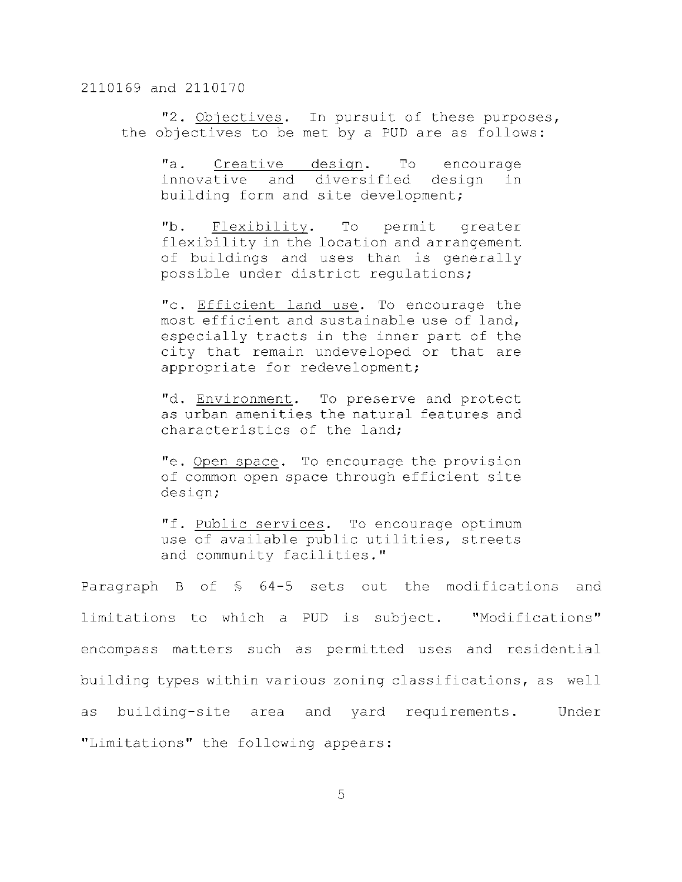"2. Objectives. In pursuit of these purposes, the objectives to be met by a PUD are as follows:

"a. Creative design. To encourage innovative and diversified design in building form and site development;

"b. Flexibility. To permit greater flexibility in the location and arrangement of buildings and uses than is generally possible under district requlations;

"c. Efficient land use. To encourage the most efficient and sustainable use of land, especially tracts in the inner part of the city that remain undeveloped or that are appropriate for redevelopment;

"d. Environment. To preserve and protect as urban amenities the natural features and characteristics of the land:

"e. Open space. To encourage the provision of common open space through efficient site design;

"f. Public services. To encourage optimum use of available public utilities, streets and community facilities."

Paragraph B of  $\frac{6}{7}$  64-5 sets out the modifications and limitations to which a PUD is subject. "Modifications" encompass matters such as permitted uses and residential building types within various zoning classifications, as well as building-site area and yard requirements. Under "Limitations" the following appears: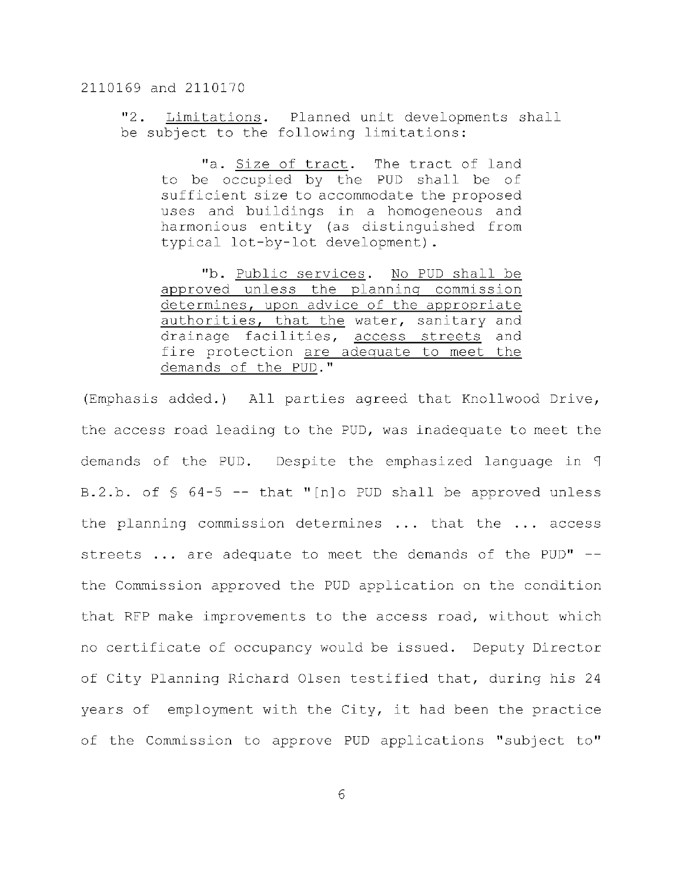"2. Limitations. Planned unit developments shall be subject to the following limitations:

"a. Size of tract. The tract of land to be occupied by the PUD shall be of sufficient size to accommodate the proposed uses and buildings in a homogeneous and harmonious entity (as distinguished from typical lot-by-lot development).

"b. Public services. No PUD shall be approved unless the planning commission determines, upon advice of the appropriate authorities, that the water, sanitary and drainage facilities, access streets and fire protection are adequate to meet the demands of the PUD."

(Emphasis added.) All parties agreed that Knollwood Drive, the access road leading to the PUD, was inadequate to meet the demands of the PUD. Despite the emphasized language in T B.2.b. of  $\frac{6}{9}$  64-5 -- that "[n]o PUD shall be approved unless the planning commission determines  $\ldots$  that the  $\ldots$  access streets  $\ldots$  are adequate to meet the demands of the PUD" -the Commission approved the PUD application on the condition that RFP make improvements to the access road, without which no certificate of occupancy would be issued. Deputy Director of City Planning Richard Olsen testified that, during his 24 years of employment with the City, it had been the practice of the Commission to approve PUD applications "subject to"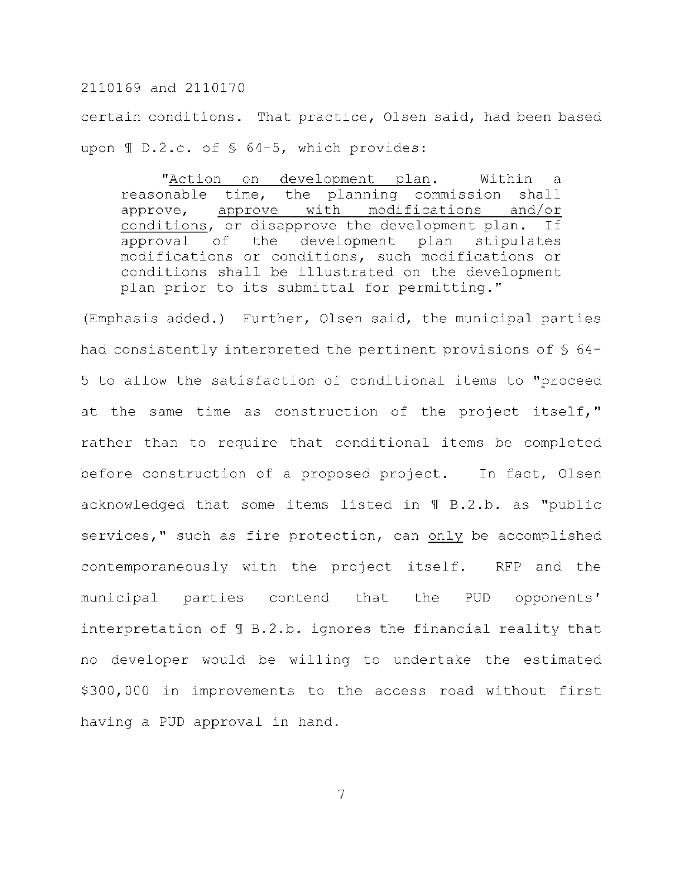certain conditions. That practice, Olsen said, had been based upon  $\text{I}$  D.2.c. of § 64-5, which provides:

"Action on development plan. Within a reasonable time, the planning commission shall approve, approve with modifications and/or conditions, or disapprove the development plan. If approval of the development plan stipulates modifications or conditions, such modifications or conditions shall be illustrated on the development plan prior to its submittal for permitting."

(Emphasis added.) Further, Olsen said, the municipal parties had consistently interpreted the pertinent provisions of  $\S$  64-5 to allow the satisfaction of conditional items to "proceed at the same time as construction of the project itself," rather than to require that conditional items be completed before construction of a proposed project. In fact, Olsen acknowledged that some items listed in  $\P$  B.2.b. as "public services," such as fire protection, can only be accomplished contemporaneously with the project itself. RFP and the municipal parties contend that the PUD opponents' interpretation of  $\text{\texttt{M}}$  B.2.b. ignores the financial reality that no developer would be willing to undertake the estimated \$300,000 in improvements to the access road without first having a PUD approval in hand.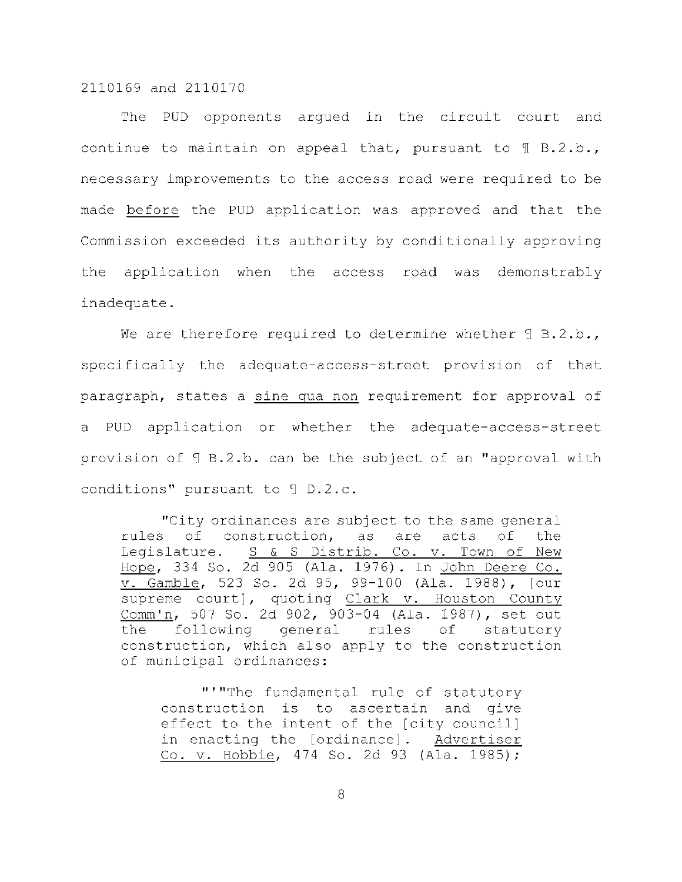The PUD opponents argued in the circuit court and continue to maintain on appeal that, pursuant to  $\text{\texttt{T}}$  B.2.b., necessary improvements to the access road were required to be made before the PUD application was approved and that the Commission exceeded its authority by conditionally approving the application when the access road was demonstrably inadequate .

We are therefore required to determine whether  $\mathbb{I}$  B.2.b., specifically the adequate-access-street provision of that paragraph, states a sine qua non requirement for approval of a PUD application or whether the adequate-access-street provision of  $\P$  B.2.b. can be the subject of an "approval with conditions" pursuant to  $\mathcal I$  D.2.c.

"City ordinances are subject to the same general rules of construction, as are acts of the Legislature. S & S Distrib. Co. v. Town of New Hope, 334 So. 2d 905 (Ala. 1976). In John Deere Co. v. Gamble, 523 So. 2d 95, 99-100 (Ala. 1988), [our supreme court], quoting Clark v. Houston County Comm'n, 507 So. 2d 902, 903-04 (Ala. 1987), set out the following general rules of statutory construction, which also apply to the construction of municipal ordinances:

"'"The fundamental rule of statutory construction is to ascertain and give effect to the intent of the [city council] in enacting the [ordinance]. Advertiser Co. v. Hobbie, 474 So. 2d 93 (Ala. 1985);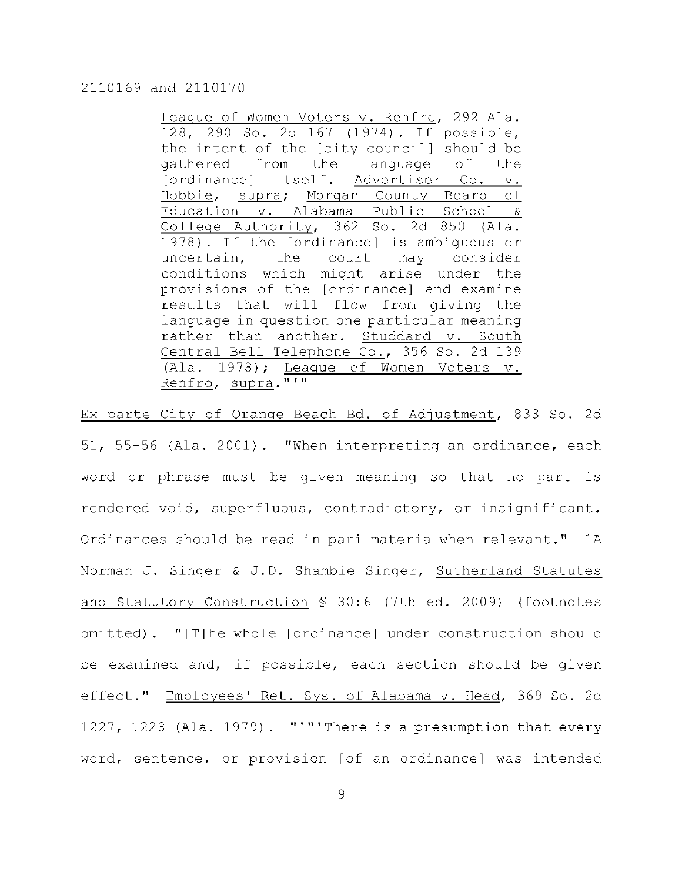League of Women Voters v. Renfro, 292 Ala. 128, 290 So. 2d 167 (1974). If possible, the intent of the [city council] should be gathered from the language of the [ordinance] itself. Advertiser Co. v. Hobbie, supra; Morgan County Board of Education v. Alabama Public School & College Authority, 362 So. 2d 850 (Ala. 1978). If the  $[ordinate]$  is ambiguous or uncertain, the court may consider conditions which might arise under the provisions of the [ordinance] and examine results that will flow from giving the language in question one particular meaning rather than another. Studdard v. South Central Bell Telephone Co., 356 So. 2d 139  $(Ala. 1978)$ ; Leaque of Women Voters v. Renfro, supra."'"

Ex parte City of Orange Beach Bd. of Adjustment, 833 So. 2d 51, 55-56 (Ala. 2001). "When interpreting an ordinance, each word or phrase must be given meaning so that no part is rendered void, superfluous, contradictory, or insignificant. Ordinances should be read in pari materia when relevant." 1A Norman J. Singer & J.D. Shambie Singer, Sutherland Statutes and Statutory Construction  $S$  30:6 (7th ed. 2009) (footnotes omitted).  $"[T]$ he whole  $[ordinate]$  under construction should be examined and, if possible, each section should be given effect." Employees' Ret. Sys. of Alabama v. Head, 369 So. 2d 1227, 1228 (Ala. 1979). "'"'There is a presumption that every word, sentence, or provision [of an ordinance] was intended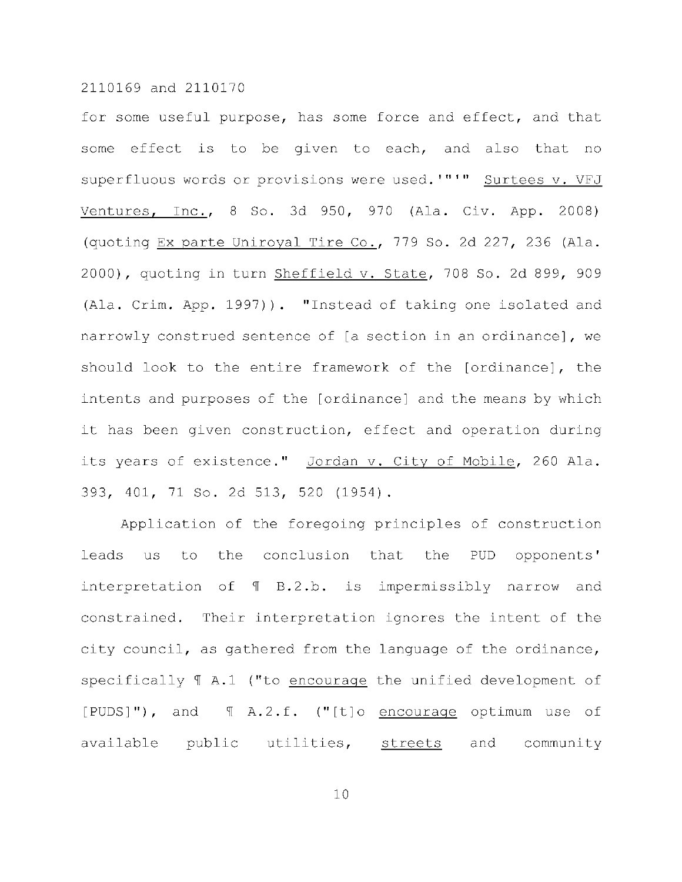for some useful purpose, has some force and effect, and that some effect is to be given to each, and also that no superfluous words or provisions were used. '"'" Surtees v. VFJ Ventures, Inc., 8 So. 3d 950, 970 (Ala. Civ. App. 2008) (quoting Ex parte Uniroyal Tire Co., 779 So. 2d 227, 236 (Ala. 2000), quoting in turn Sheffield v. State, 708 So. 2d 899, 909 (Ala. Crim. App. 1997)). "Instead of taking one isolated and narrowly construed sentence of [a section in an ordinance], we should look to the entire framework of the [ordinance], the intents and purposes of the [ordinance] and the means by which it has been given construction, effect and operation during its years of existence." Jordan v. City of Mobile, 260 Ala. 393, 401, 71 So. 2d 513, 520 (1954).

Application of the foregoing principles of construction leads us to the conclusion that the PUD opponents' interpretation of  $\P$  B.2.b. is impermissibly narrow and constrained. Their interpretation ignores the intent of the city council, as gathered from the language of the ordinance, specifically  $\P$  A.1 ("to encourage the unified development of  $[PUDS]$ "), and  $\parallel$  A.2.f. ("[t] o encourage optimum use of available public utilities, streets and community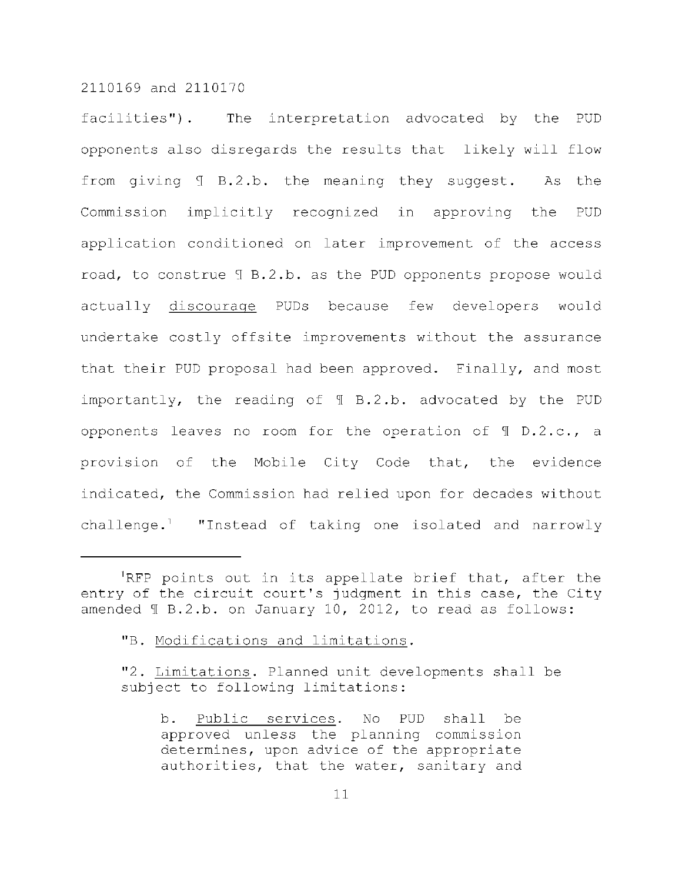facilities"). The interpretation advocated by the PUD opponents also disregards the results that likely will flow from giving  $I$  B.2.b. the meaning they suggest. As the Commission implicitly recognized in approving the PUD application conditioned on later improvement of the access road, to construe  $I$  B.2.b. as the PUD opponents propose would actually discourage PUDs because few developers would undertake costly offsite improvements without the assurance that their PUD proposal had been approved. Finally, and most importantly, the reading of  $\text{I}$  B.2.b. advocated by the PUD opponents leaves no room for the operation of  $\texttt{T}$  D.2.c., a provision of the Mobile City Code that, the evidence indicated, the Commission had relied upon for decades without challenge.<sup>1</sup> "Instead of taking one isolated and narrowly

<sup>&</sup>lt;sup>1</sup>RFP points out in its appellate brief that, after the entry of the circuit court's judgment in this case, the City amended  $\text{T B.2.b.}$  on January 10, 2012, to read as follows:

<sup>&</sup>quot;B. Modifications and limitations.

<sup>&</sup>quot;2. Limitations. Planned unit developments shall be subject to following limitations:

b. Public services. No PUD shall be approved unless the planning commission determines, upon advice of the appropriate authorities, that the water, sanitary and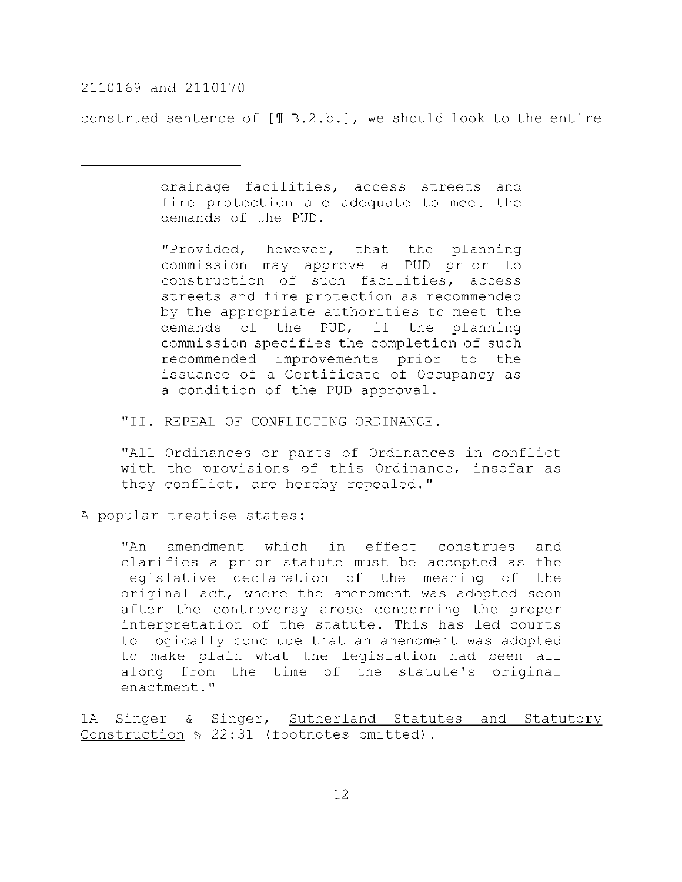construed sentence of  $[\text{T B.2.b.}]$ , we should look to the entire

drainage facilities, access streets and fire protection are adequate to meet the demands of the PUD.

"Provided, however, that the planning commission may approve a PUD prior to construction of such facilities, access streets and fire protection as recommended by the appropriate authorities to meet the demands of the PUD, if the planning commission specifies the completion of such recommended improvements prior to the issuance of a Certificate of Occupancy as a condition of the PUD approval.

"II. REPEAL OF CONFLICTING ORDINANCE.

"All Ordinances or parts of Ordinances in conflict with the provisions of this Ordinance, insofar as they conflict, are hereby repealed."

A popular treatise states:

"An amendment which in effect construes and clarifies a prior statute must be accepted as the legislative declaration of the meaning of the original act, where the amendment was adopted soon after the controversy arose concerning the proper interpretation of the statute. This has led courts to logically conclude that an amendment was adopted to make plain what the legislation had been all along from the time of the statute's original enactment."

1A Singer & Singer, Sutherland Statutes and Statutory Construction  $S$  22:31 (footnotes omitted).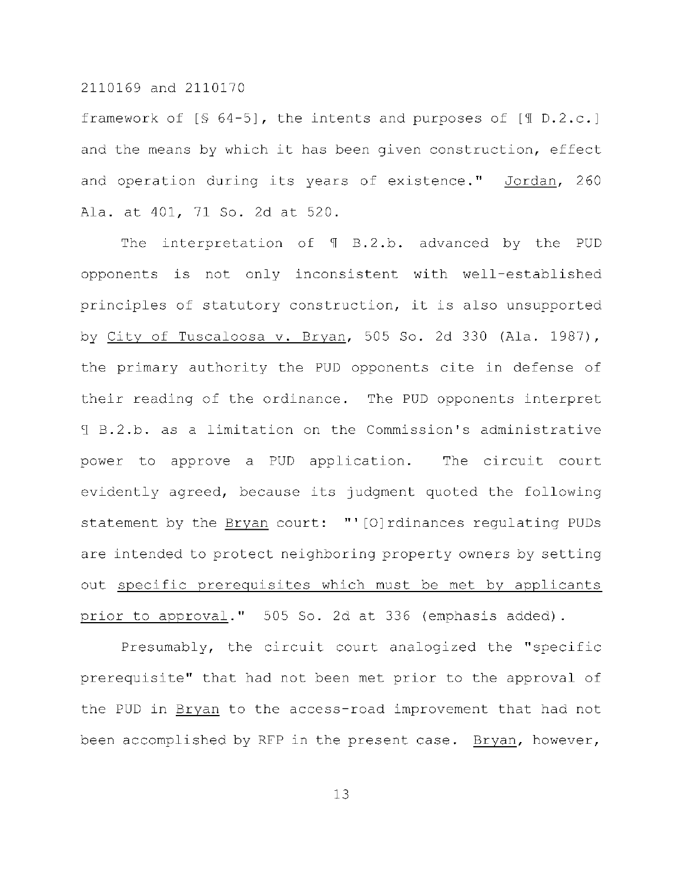framework of  $[$ 64-5]$ , the intents and purposes of  $[$ 0.2.c.]$ and the means by which it has been given construction, effect and operation during its years of existence." Jordan, 260 Ala. at 401, 71 So. 2d at 520.

The interpretation of  $\P$  B.2.b. advanced by the PUD opponents is not only inconsistent with well-established principles of statutory construction, it is also unsupported by City of Tuscaloosa v. Bryan, 505 So. 2d 330 (Ala. 1987), the primary authority the PUD opponents cite in defense of their reading of the ordinance. The PUD opponents interpret I B.2.b. as a limitation on the Commission's administrative power to approve a PUD application. The circuit court evidently agreed, because its judgment quoted the following statement by the  $Bryan$  court: "'[O]rdinances regulating PUDs are intended to protect neighboring property owners by setting out specific prerequisites which must be met by applicants prior to approval." 505 So. 2d at 336 (emphasis added).

Presumably, the circuit court analogized the "specific prerequisite" that had not been met prior to the approval of the PUD in Bryan to the access-road improvement that had not been accomplished by RFP in the present case. Bryan, however,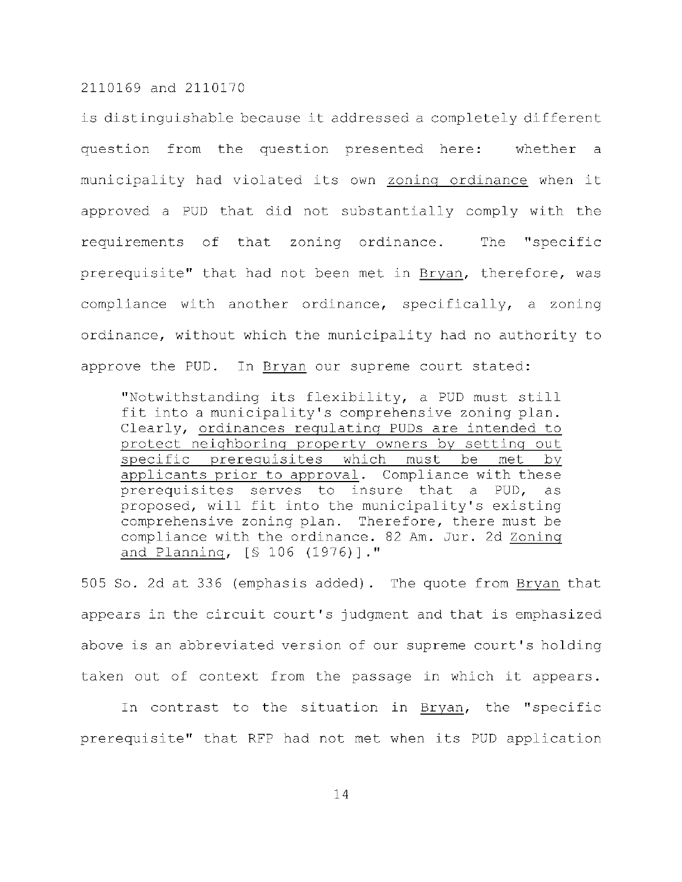is distinguishable because it addressed a completely different question from the question presented here: whether a municipality had violated its own zoning ordinance when it approved a PUD that did not substantially comply with the requirements of that zoning ordinance. The "specific prerequisite" that had not been met in Bryan, therefore, was compliance with another ordinance, specifically, a zoning ordinance, without which the municipality had no authority to approve the PUD. In Bryan our supreme court stated:

"Notwithstanding its flexibility, a PUD must still fit into a municipality's comprehensive zoning plan. Clearly, ordinances regulating PUDs are intended to protect neighboring property owners by setting out specific prerequisites which must be met by applicants prior to approval. Compliance with these prerequisites serves to insure that a PUD, as proposed, will fit into the municipality's existing comprehensive zoning plan. Therefore, there must be compliance with the ordinance. 82 Am. Jur. 2d Zoning and Planning, [§ 106 (1976)]."

505 So. 2d at 336 (emphasis added). The quote from Bryan that appears in the circuit court's judgment and that is emphasized above is an abbreviated version of our supreme court's holding taken out of context from the passage in which it appears.

In contrast to the situation in Bryan, the "specific prerequisite" that RFP had not met when its PUD application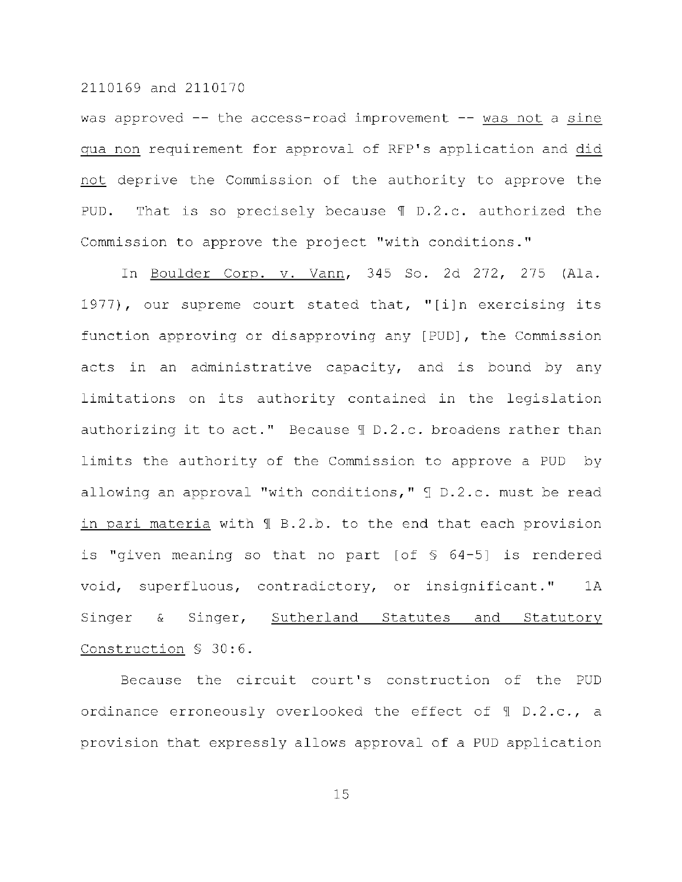was approved  $-$  the access-road improvement  $-$  was not a sine qua non requirement for approval of RFP's application and did not deprive the Commission of the authority to approve the PUD. That is so precisely because  $\P D.2.c.$  authorized the Commission to approve the project "with conditions."

In Boulder Corp. v. Vann, 345 So. 2d 272, 275 (Ala. 1977), our supreme court stated that, "[i]n exercising its function approving or disapproving any [PUD], the Commission acts in an administrative capacity, and is bound by any limitations on its authority contained in the legislation authorizing it to act." Because  $\text{\ensuremath{\mathfrak{N}}}$  D.2.c. broadens rather than limits the authority of the Commission to approve a PUD by allowing an approval "with conditions,"  $\lceil$  D.2.c. must be read in pari materia with  $\text{\texttt{M}}$  B.2.b. to the end that each provision is "given meaning so that no part [of  $$64-5]$  is rendered void, superfluous, contradictory, or insignificant." 1A Singer & Singer, Sutherland Statutes and Statutory Construction § 30:6.

Because the circuit court's construction of the PUD ordinance erroneously overlooked the effect of  $\texttt{T}$  D.2.c., a provision that expressly allows approval of a PUD application